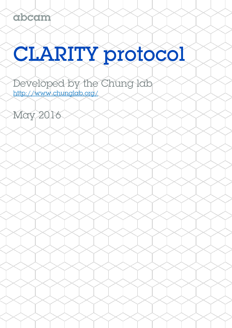# CLARITY protocol

Developed by the Chung lab http://www.chunglab.org/

May 2016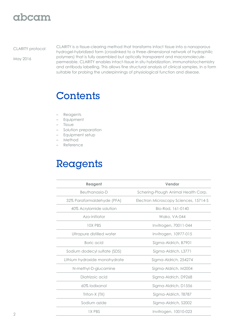### abcam

#### CLARITY protocol

May 2016

CLARITY is a tissue-clearing method that transforms intact tissue into a nanoporous hydrogel-hybridized form (crosslinked to a three-dimensional network of hydrophilic polymers) that is fully assembled but optically transparent and macromoleculepermeable. CLARITY enables intact-tissue in situ hybridization, immunohistochemistry and antibody labelling. This allows fine structural analysis of clinical samples, in a form suitable for probing the underpinnings of physiological function and disease.

### Contents

- Reagents
- Equipment
- Tissue
- Solution preparation
- Equipment setup
- Method
- Reference

# Reagents

| Reagent                       | Vendor                                |
|-------------------------------|---------------------------------------|
| Beuthanasia-D                 | Schering-Plough Animal Health Corp.   |
| 32% Paraformaldehyde (PFA)    | Electron Microscopy Sciences, 15714-S |
| 40% Acrylamide solution       | Bio-Rad, 161-0140                     |
| Azo-initiator                 | Wako, VA-044                          |
| 10X PBS                       | Invitrogen, 70011-044                 |
| Ultrapure distilled water     | Invitrogen, 10977-015                 |
| Boric acid                    | Sigma-Aldrich, B7901                  |
| Sodium dodecyl sulfate (SDS)  | Sigma-Aldrich, L3771                  |
| Lithium hydroxide monohydrate | Sigma-Aldrich, 254274                 |
| N-methyl-D-glucamine          | Sigma-Aldrich, M2004                  |
| Diatrizoic acid               | Sigma-Aldrich, D9268                  |
| 60% lodixanol                 | Sigma-Aldrich, D1556                  |
| Triton-X (TX)                 | Sigma-Aldrich, T8787                  |
| Sodium azide                  | Sigma-Aldrich, S2002                  |
| <b>1X PBS</b>                 | Invitrogen, 10010-023                 |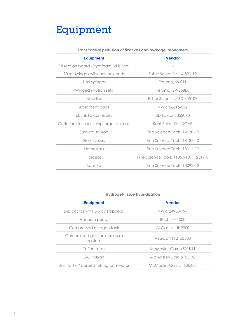# Equipment

| <b>Transcardial perfusion of fixatives and hydrogel monomers</b> |                                        |
|------------------------------------------------------------------|----------------------------------------|
| <b>Equipment</b>                                                 | <b>Vendor</b>                          |
| Dissection board (Styrofoam lid is fine)                         |                                        |
| 20 ml syringes with luer lock ends                               | Fisher Scientific, 14-820-19           |
| 1 ml syringes                                                    | Terumo, SS-01T                         |
| Winged infusion sets                                             | Terumo, SV-25BLK                       |
| <b>Needles</b>                                                   | Fisher Scientific, BD 305109           |
| Absorbent pads                                                   | VWR, 56616-032                         |
| 50 mL Falcon tubes                                               | <b>BD Falcon, 352070</b>               |
| Guillotine, for sacrificing larger animals                       | Kent Scientific, DCAP                  |
| Surgical scissors                                                | Fine Science Tools, 14130-17           |
| Fine scissors                                                    | Fine Science Tools, 14137-10           |
| Hemostats                                                        | Fine Science Tools, 13011-12           |
| Forceps                                                          | Fine Science Tools, 11050-10, 11251-10 |
| Spatula                                                          | Fine Science Tools, 10092-12           |

| <b>Hydrogel-tissue hybridization</b>      |                         |
|-------------------------------------------|-------------------------|
| <b>Equipment</b>                          | <b>Vendor</b>           |
| Desiccator with 3-way stopcock            | VWR, 24988-197          |
| Vacuum pump                               | Buchi, 071000           |
| Compressed nitrogen tank                  | AirGas, NI UHP300       |
| Compressed gas tank pressure<br>regulator | AirGas, Y11215B580      |
| Teflon tape                               | McMaster-Carr, 4591K11  |
| $3/8"$ tubing                             | McMaster-Carr, 5155T36  |
| 3/8" to 1/4" barbed tubing connector      | McMaster-Carr, 5463K633 |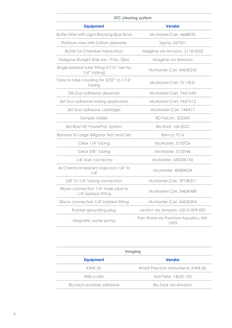| <b>ETC clearing system</b>                                |                                             |  |
|-----------------------------------------------------------|---------------------------------------------|--|
| <b>Equipment</b>                                          | <b>Vendor</b>                               |  |
| Buffer Filter with Light-Blocking Blue Bowl               | McMaster-Carr, 4448K35                      |  |
| Platinum wire with 0.5mm diameter                         | Sigma, 267201                               |  |
| <b>Bottle for Chamber fabrication</b>                     | Nalgene via Amazon, 2118-0002               |  |
| Nalgene Straight Side Jar - Poly, 32oz                    | Nalgene via Amazon                          |  |
| Single barbed tube fitting (7/16" hex for<br>1/4" tubing) | McMaster-Carr, 5463K245                     |  |
| Tube to tube coupling for 3/32" to 1/16"<br>tubing        | McMaster-Carr, 5117K51                      |  |
| 3M Duo adhesive dispenser                                 | McMaster-Carr, 7467A43                      |  |
| 3M Duo adhesive-mixing applicators                        | McMaster-Carr, 7467A12                      |  |
| 3M Duo adhesive cartridges                                | McMaster-Carr, 746A17                       |  |
| Sample holder                                             | <b>BD Falcon, 352340</b>                    |  |
| <b>Bio-Rad HC PowerPac System</b>                         | Bio-Rad, 164-5052                           |  |
| Banana to Large Alligator Test Lead Set                   | Elenco, TL16                                |  |
| Clear 1/4" tubing                                         | McMaster, 5155T26                           |  |
| Clear 5/8" tubing                                         | McMaster, 5155T46                           |  |
| 1/4" wye connector                                        | McMaster, 53055K155                         |  |
| 4x Chemical resistant stopcock 1/4" to<br>$1/4$ "         | McMaster, 48285K24                          |  |
| 5/8" to 1/4" tubing connection                            | McMaster-Carr, 2974K271                     |  |
| Elbow connection 1/4" male pipe to<br>1/4" barbed fitting | McMaster-Carr, 5463K489                     |  |
| Elbow connection 1/4" barbed fitting                      | McMaster-Carr, 5463K594                     |  |
| Rubber grounding plug                                     | Leviton via Amazon, L00-515PR-000           |  |
| Magnetic water pump                                       | Pan World via Premium Aquatics, NH-<br>10PX |  |

| Imaging                    |                                       |  |
|----------------------------|---------------------------------------|--|
| <b>Equipment</b>           | <b>Vendor</b>                         |  |
| KWIK-SIL                   | World Precision Instruments, KWIK-SIL |  |
| Willco-dish                | Ted Pella, 14032-120                  |  |
| Blu-tack reusable adhesive | Blu-Tack via Amazon                   |  |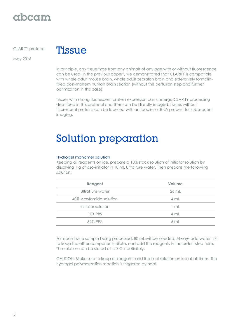### gbcgm

CLARITY protocol

May 2016



In principle, any tissue type from any animals of any age with or without fluorescence can be used. In the previous paper<sup>1</sup>, we demonstrated that CLARITY is compatible with whole adult mouse brain, whole adult zebrafish brain and extensively formalinfixed post-mortem human brain section (without the perfusion step and further optimization in this case).

Tissues with strong fluorescent protein expression can undergo CLARITY processing described in this protocol and then can be directly imaged; tissues without fluorescent proteins can be labelled with antibodies or RNA probes<sup>1</sup> for subsequent imaging.

# Solution preparation

#### Hydrogel monomer solution

Keeping all reagents on ice, prepare a 10% stock solution of initiator solution by dissolving 1 g of azo-initiator in 10 mL UltraPure water. Then prepare the following solution:

| Reagent                 | Volume |
|-------------------------|--------|
| UltraPure water         | 26 mL  |
| 40% Acrylamide solution | 4 mL   |
| Initiator solution      | l mL   |
| 10X PBS                 | 4 mL   |
| 32% PFA                 | 5 mL   |

For each tissue sample being processed, 80 mL will be needed. Always add water first to keep the other components dilute, and add the reagents in the order listed here. The solution can be stored at -20°C indefinitely.

CAUTION: Make sure to keep all reagents and the final solution on ice at all times. The hydrogel polymerization reaction is triggered by heat.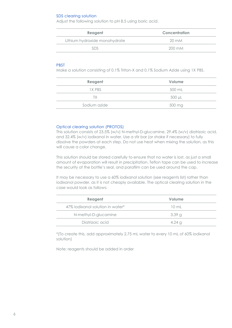#### SDS clearing solution

Adjust the following solution to pH 8.5 using boric acid.

| Reagent                       | Concentration    |
|-------------------------------|------------------|
| Lithium hydroxide monohydrate | $20 \text{ mM}$  |
|                               | $200 \text{ mM}$ |
|                               |                  |

#### PBST

Make a solution consisting of 0.1% Triton-X and 0.1% Sodium Azide using 1X PBS.

| Reagent      | Volume |
|--------------|--------|
| IX PBS       | 500 mL |
| TХ           | 500 µL |
| Sodium azide | 500 mg |

#### Optical clearing solution (PROTOS)

This solution consists of 23.5% (w/v) N-methyl-D-glucamine, 29.4% (w/v) diatrizoic acid, and 32.4% (w/v) iodixanol in water. Use a stir bar (or shake if necessary) to fully dissolve the powders at each step. Do not use heat when mixing the solution, as this will cause a color change.

This solution should be stored carefully to ensure that no water is lost, as just a small amount of evaporation will result in precipitation. Teflon tape can be used to increase the security of the bottle's seal, and parafilm can be used around the cap.

It may be necessary to use a 60% iodixanol solution (see reagents list) rather than iodixanol powder, as it is not cheaply available. The optical clearing solution in the case would look as follows:

| Reagent                          | Volume        |  |
|----------------------------------|---------------|--|
| 47% lodixanol solution in water* | 10 ml         |  |
| N-methyl-D-glucamine             | 3.39g         |  |
| Diatrizoic acid                  | 4.24 $\sigma$ |  |
|                                  |               |  |

\*(To create this, add approximately 2.75 mL water to every 10 mL of 60% iodixanol solution)

Note: reagents should be added in order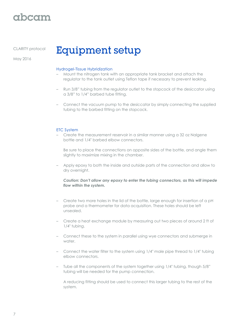### rbcam

CLARITY protocol

May 2016

# **Equipment setup**

#### Hydrogel-Tissue Hybridization

- Mount the nitrogen tank with an appropriate tank bracket and attach the regulator to the tank outlet using Teflon tape if necessary to prevent leaking.
- Run 3/8" tubing from the regulator outlet to the stopcock of the desiccator using a 3/8" to 1/4" barbed tube fitting.
- Connect the vacuum pump to the desiccator by simply connecting the supplied tubing to the barbed fitting on the stopcock.

#### ETC System

– Create the measurement reservoir in a similar manner using a 32 oz Nalgene bottle and 1/4" barbed elbow connectors.

Be sure to place the connections on opposite sides of the bottle, and angle them slightly to maximize mixing in the chamber.

– Apply epoxy to both the inside and outside parts of the connection and allow to dry overnight.

#### *Caution: Don't allow any epoxy to enter the tubing connectors, as this will impede flow within the system.*

- Create two more holes in the lid of the bottle, large enough for insertion of a pH probe and a thermometer for data acquisition. These holes should be left unsealed.
- Create a heat exchange module by measuring out two pieces of around 2 ft of 1/4" tubing.
- Connect these to the system in parallel using wye connectors and submerge in water.
- Connect the water filter to the system using 1/4" male pipe thread to 1/4" tubing elbow connectors.
- Tube all the components of the system together using 1/4" tubing, though 5/8" tubing will be needed for the pump connection.

A reducing fitting should be used to connect this larger tubing to the rest of the system.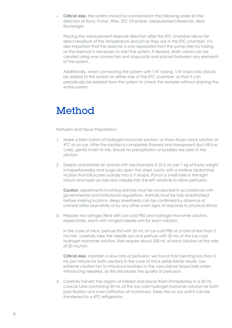– **Critical step**: the system should be connected in the following order (in the direction of flow): Pump, Filter, ETC Chamber, Measurement Reservoir, Heat Exchanger.

Placing the measurement reservoir direction after the ETC chamber allows for direct readouts of the temperature and pH as they are in the ETC chamber. It is also important that the reservoir is only separated from the pump inlet by tubing, as the reservoir is necessary to start the system. If desired, drain valves can be created using wye connectors and stopcocks and placed between any elements of the system.

Additionally, when connecting the system with 1/4" tubing, 1/4" stopcocks should be added to the system on either side of the ETC chamber, so that it can periodically be isolated from the system to check the samples without draining the entire system.

## Method

Perfusion and Tissue Preparation

- 1. Make a fresh batch of hydrogel monomer solution, or thaw frozen stock solution at 4<sup>o</sup>C or on ice. After the solution is completely thawed and transparent (but still icecold), gently invert to mix. Ensure no precipitation or bubbles are seen in the solution.
- 2. Deeply anesthetize an animal with beuthanasia-D (0.5 mL per 1 kg of body weight intraperitoneally) and surgically open the chest cavity with a midline abdominal incision that bifurcates rostrally into a Y-shape. Punch a small hole in the right atrium and insert an injection needle into the left ventricle to allow perfusion.

**Caution**: experiments involving animals must be conducted in accordance with governmental and institutional regulations. Animals must be fully anesthetized before making incisions: deep anesthesia can be confirmed by absence of corneal reflex (eye blink) or by any other overt signs of response to physical stimuli.

3. Prepare two syringes filled with ice-cold PBS and hydrogel monomer solution, respectively, each with winged needle sets for each solution.

In the case of mice, perfuse first with 20 mL of ice-cold PBS at a rate of less than 5 mL/min, carefully take the needle out and perfuse with 20 mL of the ice-cold hydrogel monomer solution. Rats require about 200 mL of each solution at the rate of 20 mL/min.

**Critical step**: maintain a slow rate of perfusion: we found that injecting less than 5 mL per minute for both solutions in the case of mice yields better results. Use extreme caution not to introduce bubbles to the vasculature (especially when introducing needles), as this decreases the quality of perfusion.

4. Carefully harvest the organs of interest and place them immediately in a 50 mL conical tube containing 20 mL of the ice-cold hydrogel monomer solution for both post-fixation and even infiltration of monomers. Keep this on ice until it can be transferred to a 4<sup>°</sup>C refrigerator.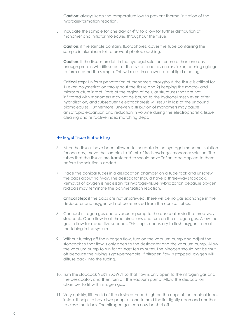**Caution**: always keep the temperature low to prevent thermal initiation of the hydrogel-formation reaction.

5. Incubate the sample for one day at  $4^{\circ}$ C to allow for further distribution of monomer and initiator molecules throughout the tissue.

**Caution:** if the sample contains fluorophores, cover the tube containing the sample in aluminum foil to prevent photobleaching.

**Caution:** If the tissues are left in the hydrogel solution for more than one day, enough protein will diffuse out of the tissue to act as a cross-inker, causing rigid gel to form around the sample. This will result in a slower rate of lipid clearing.

**Critical step**: Uniform penetration of monomers throughout the tissue is critical for 1) even polymerization throughout the tissue and 2) keeping the macro- and microstructure intact. Parts of the region of cellular structures that are not infiltrated with monomers may not be bound to the hydrogel mesh even after hybridization, and subsequent electrophoresis will result in loss of the unbound biomolecules. Furthermore, uneven distribution of monomers may cause anisotropic expansion and reduction in volume during the electrophoretic tissue clearing and refractive index matching steps.

#### Hydrogel Tissue Embedding

- 6. After the tissues have been allowed to incubate in the hydrogel monomer solution for one day, move the samples to 10 mL of fresh hydrogel monomer solution. The tubes that the tissues are transferred to should have Teflon tape applied to them before the solution is added.
- 7. Place the conical tubes in a desiccation chamber on a tube rack and unscrew the caps about halfway. The desiccator should have a three-way stopcock. Removal of oxygen is necessary for hydrogel-tissue hybridization because oxygen radicals may terminate the polymerization reaction.

**Critical Step**: if the caps are not unscrewed, there will be no gas exchange in the desiccator and oxygen will not be removed from the conical tubes.

- 8. Connect nitrogen gas and a vacuum pump to the desiccator via the three-way stopcock. Open flow in all three directions and turn on the nitrogen gas. Allow the gas to flow for about five seconds. This step is necessary to flush oxygen from all the tubing in the system.
- 9. Without turning off the nitrogen flow, turn on the vacuum pump and adjust the stopcock so that flow is only open to the desiccator and the vacuum pump. Allow the vacuum pump to run for at least ten minutes. The nitrogen should not be shut off because the tubing is gas-permeable. If nitrogen flow is stopped, oxygen will diffuse back into the tubing.
- 10. Turn the stopcock VERY SLOWLY so that flow is only open to the nitrogen gas and the desiccator, and then turn off the vacuum pump. Allow the desiccation chamber to fill with nitrogen gas.
- 11. Very quickly, lift the lid of the desiccator and tighten the caps of the conical tubes inside. It helps to have two people – one to hold the lid slightly open and another to close the tubes. The nitrogen gas can now be shut off.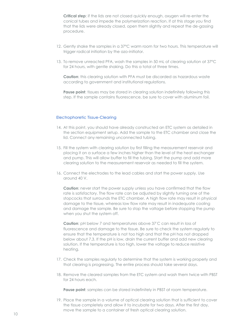**Critical step**: if the lids are not closed quickly enough, oxygen will re-enter the conical tubes and impede the polymerization reaction. If at this stage you find that the lids were already closed, open them slightly and repeat the de-gassing procedure.

- 12. Gently shake the samples in a 37°C warm room for two hours. This temperature will trigger radical initiation by the azo-initiator.
- 13. To remove unreacted PFA, wash the samples in 50 mL of clearing solution at 37°C for 24 hours, with gentle shaking. Do this a total of three times.

**Caution**: this clearing solution with PFA must be discarded as hazardous waste according to government and institutional regulations.

**Pause point:** tissues may be stored in clearing solution indefinitely following this step. If the sample contains fluorescence, be sure to cover with aluminum foil.

#### Electrophoretic Tissue-Clearing

- 14. At this point, you should have already constructed an ETC system as detailed in the section equipment setup. Add the sample to the ETC chamber and close the lid. Connect any remaining unconnected tubing.
- 15. Fill the system with clearing solution by first filling the measurement reservoir and placing it on a surface a few inches higher than the level of the heat exchanger and pump. This will allow buffer to fill the tubing. Start the pump and add more clearing solution to the measurement reservoir as needed to fill the system.
- 16. Connect the electrodes to the lead cables and start the power supply. Use around 40 V.

**Caution**: never start the power supply unless you have confirmed that the flow rate is satisfactory. The flow rate can be adjusted by slightly turning one of the stopcocks that surrounds the ETC chamber. A high flow rate may result in physical damage to the tissue, whereas low flow rate may result in inadequate cooling and damage the sample. Be sure to stop the voltage before stopping the pump when you shut the system off.

**Caution**: pH below 7 and temperatures above 37°C can result in loss of fluorescence and damage to the tissue. Be sure to check the system regularly to ensure that the temperature is not too high and that the pH has not dropped below about 7.3. If the pH is low, drain the current buffer and add new clearing solution. If the temperature is too high, lower the voltage to reduce resistive heating.

- 17. Check the samples regularly to determine that the system is working properly and that clearing is progressing. The entire process should take several days.
- 18. Remove the cleared samples from the ETC system and wash them twice with PBST for 24 hours each.

**Pause point**: samples can be stored indefinitely in PBST at room temperature.

19. Place the sample in a volume of optical clearing solution that is sufficient to cover the tissue completely and allow it to incubate for two days. After the first day, move the sample to a container of fresh optical clearing solution.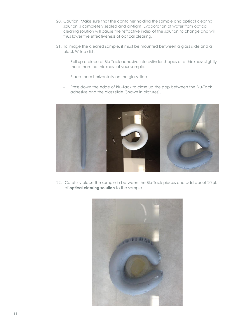- 20. Caution: Make sure that the container holding the sample and optical clearing solution is completely sealed and air-tight. Evaporation of water from optical clearing solution will cause the refractive index of the solution to change and will thus lower the effectiveness of optical clearing.
- 21. To image the cleared sample, it must be mounted between a glass slide and a black Willco dish.
	- Roll up a piece of Blu-Tack adhesive into cylinder shapes of a thickness slightly more than the thickness of your sample.
	- Place them horizontally on the glass slide.
	- Press down the edge of Blu-Tack to close up the gap between the Blu-Tack adhesive and the glass slide (Shown in pictures).



22. Carefully place the sample in between the Blu-Tack pieces and add about 20 µL of **optical clearing solution** to the sample.

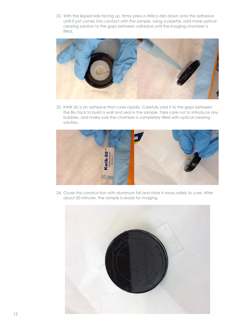22. With the lipped side facing up, firmly press a Willco dish down onto the adhesive until it just comes into contact with the sample. Using a pipette, add more optical clearing solution to the gaps between adhesive until the imaging chamber is filled.



23. KWIK-SIL is an adhesive that cures rapidly. Carefully add it to the gaps between the Blu-Tack to build a wall and seal in the sample. Take care not to introduce any bubbles, and make sure the chamber is completely filled with optical clearing solution.



24. Cover this construction with aluminum foil and store it away safely to cure. After about 20 minutes, the sample is ready for imaging.